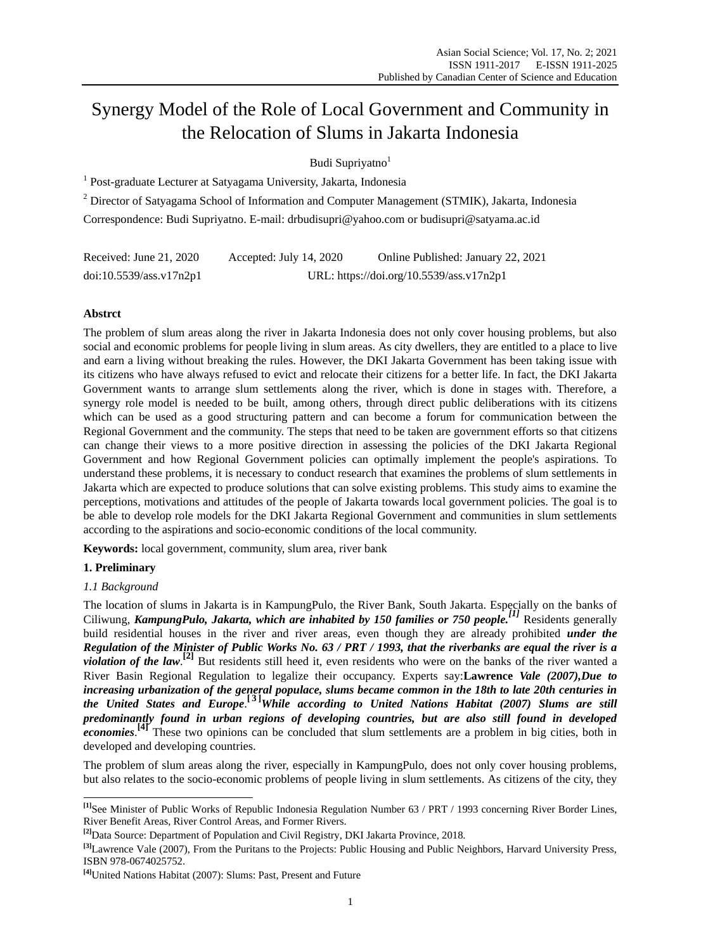# Synergy Model of the Role of Local Government and Community in the Relocation of Slums in Jakarta Indonesia

Budi Supriyatno<sup>1</sup>

<sup>1</sup> Post-graduate Lecturer at Satyagama University, Jakarta, Indonesia

<sup>2</sup> Director of Satyagama School of Information and Computer Management (STMIK), Jakarta, Indonesia

Correspondence: Budi Supriyatno. E-mail: [drbudisupri@yahoo.com](mailto:drbudisupri@yahoo.com) or [budisupri@satyama.ac.id](mailto:budisupri@satyama.ac.id)

| Received: June $21, 2020$ | Accepted: July 14, 2020 | Online Published: January 22, 2021       |
|---------------------------|-------------------------|------------------------------------------|
| doi:10.5539/ass.v17n2p1   |                         | URL: https://doi.org/10.5539/ass.v17n2p1 |

# **Abstrct**

The problem of slum areas along the river in Jakarta Indonesia does not only cover housing problems, but also social and economic problems for people living in slum areas. As city dwellers, they are entitled to a place to live and earn a living without breaking the rules. However, the DKI Jakarta Government has been taking issue with its citizens who have always refused to evict and relocate their citizens for a better life. In fact, the DKI Jakarta Government wants to arrange slum settlements along the river, which is done in stages with. Therefore, a synergy role model is needed to be built, among others, through direct public deliberations with its citizens which can be used as a good structuring pattern and can become a forum for communication between the Regional Government and the community. The steps that need to be taken are government efforts so that citizens can change their views to a more positive direction in assessing the policies of the DKI Jakarta Regional Government and how Regional Government policies can optimally implement the people's aspirations. To understand these problems, it is necessary to conduct research that examines the problems of slum settlements in Jakarta which are expected to produce solutions that can solve existing problems. This study aims to examine the perceptions, motivations and attitudes of the people of Jakarta towards local government policies. The goal is to be able to develop role models for the DKI Jakarta Regional Government and communities in slum settlements according to the aspirations and socio-economic conditions of the local community.

**Keywords:** local government, community, slum area, river bank

# **1. Preliminary**

# *1.1 Background*

The location of slums in Jakarta is in KampungPulo, the River Bank, South Jakarta. Especially on the banks of Ciliwung, *KampungPulo, Jakarta, which are inhabited by 150 families or 750 people.[\[1\]](http://id.wikipedia.org/wiki/Demokrasi_Pancasila#cite_note-c-4)* Residents generally build residential houses in the river and river areas, even though they are already prohibited *under the Regulation of the Minister of Public Works No. 63 / PRT / 1993, that the riverbanks are equal the river is a violation of the law*.<sup>[\[2\]](http://id.wikipedia.org/wiki/Demokrasi_Pancasila#cite_note-c-4)</sup> But residents still heed it, even residents who were on the banks of the river wanted a River Basin Regional Regulation to legalize their occupancy. Experts say:**Lawrence** *Vale (2007),Due to increasing urbanization of the general populace, slums became common in the 18th to late 20th centuries in the United States and Europe*. **[ [3](http://id.wikipedia.org/wiki/Demokrasi_Pancasila#cite_note-c-4) ]***While according to United Nations Habitat (2007) Slums are still predominantly found in urban regions of developing countries, but are also still found in developed*  **economies**.<sup>[\[4\]](http://id.wikipedia.org/wiki/Demokrasi_Pancasila#cite_note-c-4)</sup> These two opinions can be concluded that slum settlements are a problem in big cities, both in developed and developing countries.

The problem of slum areas along the river, especially in KampungPulo, does not only cover housing problems, but also relates to the socio-economic problems of people living in slum settlements. As citizens of the city, they

 **[\[1\]](http://id.wikipedia.org/wiki/Demokrasi_Pancasila#cite_note-c-4)** See Minister of Public Works of Republic Indonesia Regulation Number 63 / PRT / 1993 concerning River Border Lines, River Benefit Areas, River Control Areas, and Former Rivers.

**[<sup>\[2\]</sup>](http://id.wikipedia.org/wiki/Demokrasi_Pancasila#cite_note-c-4)**Data Source: Department of Population and Civil Registry, DKI Jakarta Province, 2018.

**[<sup>\[3\]</sup>](http://id.wikipedia.org/wiki/Demokrasi_Pancasila#cite_note-c-4)**Lawrence Vale (2007), From the Puritans to the Projects: Public Housing and Public Neighbors, Harvard University Press, [ISBN](https://en.wikipedia.org/wiki/ISBN_(identifier)) [978-0674025752.](https://en.wikipedia.org/wiki/Special:BookSources/978-0674025752)

**[<sup>\[4\]</sup>](http://id.wikipedia.org/wiki/Demokrasi_Pancasila#cite_note-c-4)**United Nations Habitat (2007)[: Slums: Past, Present and Future](https://web.archive.org/web/20130921055319/http:/www.unhabitat.org/documents/media_centre/sowcr2006/SOWCR%204.pdf)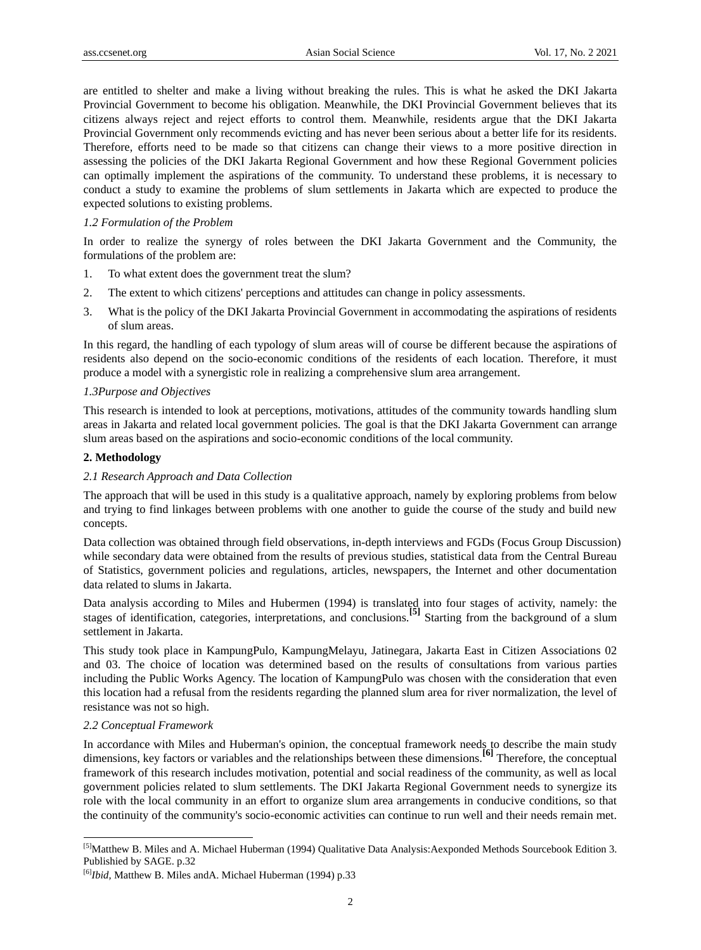are entitled to shelter and make a living without breaking the rules. This is what he asked the DKI Jakarta Provincial Government to become his obligation. Meanwhile, the DKI Provincial Government believes that its citizens always reject and reject efforts to control them. Meanwhile, residents argue that the DKI Jakarta Provincial Government only recommends evicting and has never been serious about a better life for its residents. Therefore, efforts need to be made so that citizens can change their views to a more positive direction in assessing the policies of the DKI Jakarta Regional Government and how these Regional Government policies can optimally implement the aspirations of the community. To understand these problems, it is necessary to conduct a study to examine the problems of slum settlements in Jakarta which are expected to produce the expected solutions to existing problems.

## *1.2 Formulation of the Problem*

In order to realize the synergy of roles between the DKI Jakarta Government and the Community, the formulations of the problem are:

- 1. To what extent does the government treat the slum?
- 2. The extent to which citizens' perceptions and attitudes can change in policy assessments.
- 3. What is the policy of the DKI Jakarta Provincial Government in accommodating the aspirations of residents of slum areas.

In this regard, the handling of each typology of slum areas will of course be different because the aspirations of residents also depend on the socio-economic conditions of the residents of each location. Therefore, it must produce a model with a synergistic role in realizing a comprehensive slum area arrangement.

#### *1.3Purpose and Objectives*

This research is intended to look at perceptions, motivations, attitudes of the community towards handling slum areas in Jakarta and related local government policies. The goal is that the DKI Jakarta Government can arrange slum areas based on the aspirations and socio-economic conditions of the local community.

## **2. Methodology**

#### *2.1 Research Approach and Data Collection*

The approach that will be used in this study is a qualitative approach, namely by exploring problems from below and trying to find linkages between problems with one another to guide the course of the study and build new concepts.

Data collection was obtained through field observations, in-depth interviews and FGDs (Focus Group Discussion) while secondary data were obtained from the results of previous studies, statistical data from the Central Bureau of Statistics, government policies and regulations, articles, newspapers, the Internet and other documentation data related to slums in Jakarta.

Data analysis according to Miles and Hubermen (1994) is translated into four stages of activity, namely: the stages of identification, categories, interpretations, and conclusions.<sup>[\[5\]](http://id.wikipedia.org/wiki/Demokrasi_Pancasila#cite_note-c-4)</sup> Starting from the background of a slum settlement in Jakarta.

This study took place in KampungPulo, KampungMelayu, Jatinegara, Jakarta East in Citizen Associations 02 and 03. The choice of location was determined based on the results of consultations from various parties including the Public Works Agency. The location of KampungPulo was chosen with the consideration that even this location had a refusal from the residents regarding the planned slum area for river normalization, the level of resistance was not so high.

## *2.2 Conceptual Framework*

-

In accordance with Miles and Huberman's opinion, the conceptual framework needs to describe the main study dimensions, key factors or variables and the relationships between these dimensions.**[\[6\]](http://id.wikipedia.org/wiki/Demokrasi_Pancasila#cite_note-c-4)** Therefore, the conceptual framework of this research includes motivation, potential and social readiness of the community, as well as local government policies related to slum settlements. The DKI Jakarta Regional Government needs to synergize its role with the local community in an effort to organize slum area arrangements in conducive conditions, so that the continuity of the community's socio-economic activities can continue to run well and their needs remain met.

<sup>&</sup>lt;sup>[\[5\]](http://id.wikipedia.org/wiki/Demokrasi_Pancasila#cite_note-c-4)</sup>Matthew B. Miles and A. Michael Huberman (1994) Qualitative Data Analysis:Aexponded Methods Sourcebook Edition 3. Publishied by SAGE. p.32

[<sup>\[6\]</sup>](http://id.wikipedia.org/wiki/Demokrasi_Pancasila#cite_note-c-4) *Ibid,* Matthew B. Miles andA. Michael Huberman (1994) p.33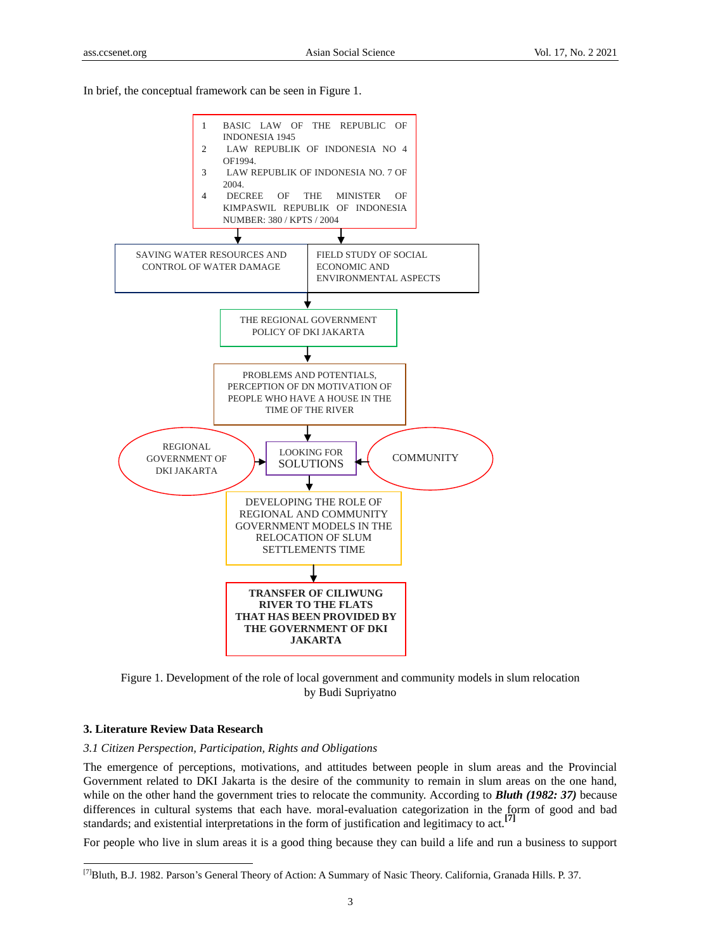In brief, the conceptual framework can be seen in Figure 1.



Figure 1. Development of the role of local government and community models in slum relocation by Budi Supriyatno

# **3. Literature Review Data Research**

-

*3.1 Citizen Perspection, Participation, Rights and Obligations*

The emergence of perceptions, motivations, and attitudes between people in slum areas and the Provincial Government related to DKI Jakarta is the desire of the community to remain in slum areas on the one hand, while on the other hand the government tries to relocate the community. According to **Bluth (1982: 37)** because differences in cultural systems that each have. moral-evaluation categorization in the form of good and bad standards; and existential interpretations in the form of justification and legitimacy to act.<sup>[1</sup>]

For people who live in slum areas it is a good thing because they can build a life and run a business to support

[<sup>\[7\]</sup>](http://id.wikipedia.org/wiki/Demokrasi_Pancasila#cite_note-c-4)Bluth, B.J. 1982. Parson's General Theory of Action: A Summary of Nasic Theory. California, Granada Hills. P. 37.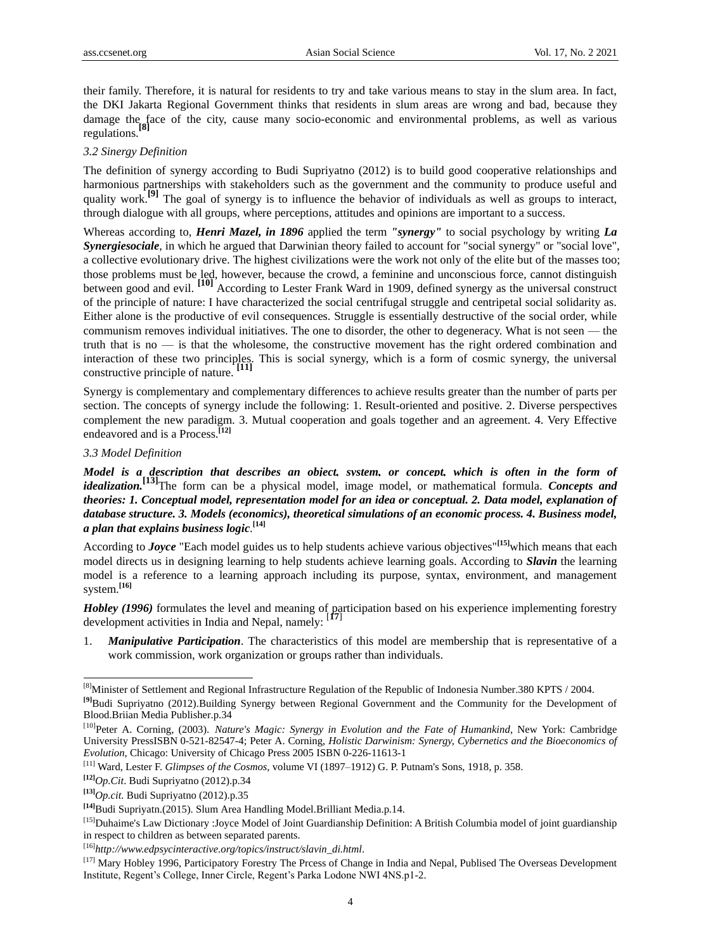their family. Therefore, it is natural for residents to try and take various means to stay in the slum area. In fact, the DKI Jakarta Regional Government thinks that residents in slum areas are wrong and bad, because they damage the face of the city, cause many socio-economic and environmental problems, as well as various regulations.**[\[8\]](http://id.wikipedia.org/wiki/Demokrasi_Pancasila#cite_note-c-4)**

# *3.2 Sinergy Definition*

The definition of synergy according to Budi Supriyatno (2012) is to build good cooperative relationships and harmonious partnerships with stakeholders such as the government and the community to produce useful and quality work.<sup>[\[9\]](http://id.wikipedia.org/wiki/Demokrasi_Pancasila#cite_note-c-4)</sup> The goal of synergy is to influence the behavior of individuals as well as groups to interact, through dialogue with all groups, where perceptions, attitudes and opinions are important to a success.

Whereas according to, *Henri Mazel, in 1896* applied the term *"synergy"* to social psychology by writing *La Synergiesociale*, in which he argued that Darwinian theory failed to account for "social synergy" or "social love", a collective evolutionary drive. The highest civilizations were the work not only of the elite but of the masses too; those problems must be led, however, because the crowd, a feminine and unconscious force, cannot distinguish between good and evil. **[\[10\]](http://id.wikipedia.org/wiki/Demokrasi_Pancasila#cite_note-c-4)** According to Lester Frank Ward in 1909, defined synergy as the universal construct of the principle of nature: I have characterized the social centrifugal struggle and centripetal social solidarity as. Either alone is the productive of evil consequences. Struggle is essentially destructive of the social order, while communism removes individual initiatives. The one to disorder, the other to degeneracy. What is not seen — the truth that is no — is that the wholesome, the constructive movement has the right ordered combination and interaction of these two principles. This is social synergy, which is a form of cosmic synergy, the universal constructive principle of nature.

Synergy is complementary and complementary differences to achieve results greater than the number of parts per section. The concepts of synergy include the following: 1. Result-oriented and positive. 2. Diverse perspectives complement the new paradigm. 3. Mutual cooperation and goals together and an agreement. 4. Very Effective endeavored and is a Process.**[\[12\]](http://id.wikipedia.org/wiki/Demokrasi_Pancasila#cite_note-c-4)**

# *3.3 Model Definition*

*Model is a description that describes an object, system, or concept, which is often in the form of idealization.***[\[13\]](http://id.wikipedia.org/wiki/Demokrasi_Pancasila#cite_note-c-4)** The form can be a physical model, image model, or mathematical formula. *Concepts and theories: 1. Conceptual model, representation model for an idea or conceptual. 2. Data model, explanation of database structure. 3. Models (economics), theoretical simulations of an economic process. 4. Business model, a plan that explains business logic*. **[\[14\]](http://id.wikipedia.org/wiki/Demokrasi_Pancasila#cite_note-c-4)**

According to *Joyce* "Each model guides us to help students achieve various objectives"**[\[15\]](http://id.wikipedia.org/wiki/Demokrasi_Pancasila#cite_note-c-4)**which means that each model directs us in designing learning to help students achieve learning goals. According to *Slavin* the learning model is a reference to a learning approach including its purpose, syntax, environment, and management system. **[\[16\]](http://id.wikipedia.org/wiki/Demokrasi_Pancasila#cite_note-c-4)**

*Hobley (1996)* formulates the level and meaning of participation based on his experience implementing forestry development activities in India and Nepal, namely: [**[17](http://id.wikipedia.org/wiki/Demokrasi_Pancasila#cite_note-c-4)**]

1. *Manipulative Participation*. The characteristics of this model are membership that is representative of a work commission, work organization or groups rather than individuals.

**[\[12\]](http://id.wikipedia.org/wiki/Demokrasi_Pancasila#cite_note-c-4)***Op.Cit*. Budi Supriyatno (2012).p.34

<sup>-</sup><sup>[\[8\]](http://id.wikipedia.org/wiki/Demokrasi_Pancasila#cite_note-c-4)</sup>Minister of Settlement and Regional Infrastructure Regulation of the Republic of Indonesia Number.380 KPTS / 2004.

**[<sup>\[9\]</sup>](http://id.wikipedia.org/wiki/Demokrasi_Pancasila#cite_note-c-4)**Budi Supriyatno (2012).Building Synergy between Regional Government and the Community for the Development of Blood.Briian Media Publisher.p.34

[<sup>\[10\]</sup>](http://id.wikipedia.org/wiki/Demokrasi_Pancasila#cite_note-c-4) Peter A. Corning, (2003). *Nature's Magic: Synergy in Evolution and the Fate of Humankind*, New York: Cambridge University Pres[sISBN](https://en.wikipedia.org/wiki/International_Standard_Book_Number) [0-521-82547-4;](https://en.wikipedia.org/wiki/Special:BookSources/0-521-82547-4) Peter A. Corning, *Holistic Darwinism: Synergy, Cybernetics and the Bioeconomics of Evolution*, Chicago: University of Chicago Press 2005 [ISBN](https://en.wikipedia.org/wiki/International_Standard_Book_Number) [0-226-11613-1](https://en.wikipedia.org/wiki/Special:BookSources/0-226-11613-1)

[<sup>\[11\]</sup>](http://id.wikipedia.org/wiki/Demokrasi_Pancasila#cite_note-c-4) Ward, Lester F. *Glimpses of the Cosmos*[, volume VI \(1897–1912\)](https://archive.org/stream/glimpsescosmos00wardgoog#page/n405/mode/1up/search/synergy) G. P. Putnam's Sons, 1918, p. 358.

**[<sup>\[13\]</sup>](http://id.wikipedia.org/wiki/Demokrasi_Pancasila#cite_note-c-4)***Op.cit.* Budi Supriyatno (2012).p.35

**[<sup>\[14\]</sup>](http://id.wikipedia.org/wiki/Demokrasi_Pancasila#cite_note-c-4)**Budi Supriyatn.(2015). Slum Area Handling Model.Brilliant Media.p.14.

<sup>&</sup>lt;sup>[\[15\]](http://id.wikipedia.org/wiki/Demokrasi_Pancasila#cite_note-c-4)</sup>Duhaime's Law Dictionary :Joyce Model of Joint Guardianship Definition: A British Columbia model of joint guardianship in respect to children as between separated parents.

[<sup>\[16\]</sup>](http://id.wikipedia.org/wiki/Demokrasi_Pancasila#cite_note-c-4) *http://www.edpsycinteractive.org/topics/instruct/slavin\_di.html*.

[<sup>\[17\]</sup>](http://id.wikipedia.org/wiki/Demokrasi_Pancasila#cite_note-c-4) Mary Hobley 1996, Participatory Forestry The Prcess of Change in India and Nepal, Publised The Overseas Development Institute, Regent's College, Inner Circle, Regent's Parka Lodone NWI 4NS.p1-2.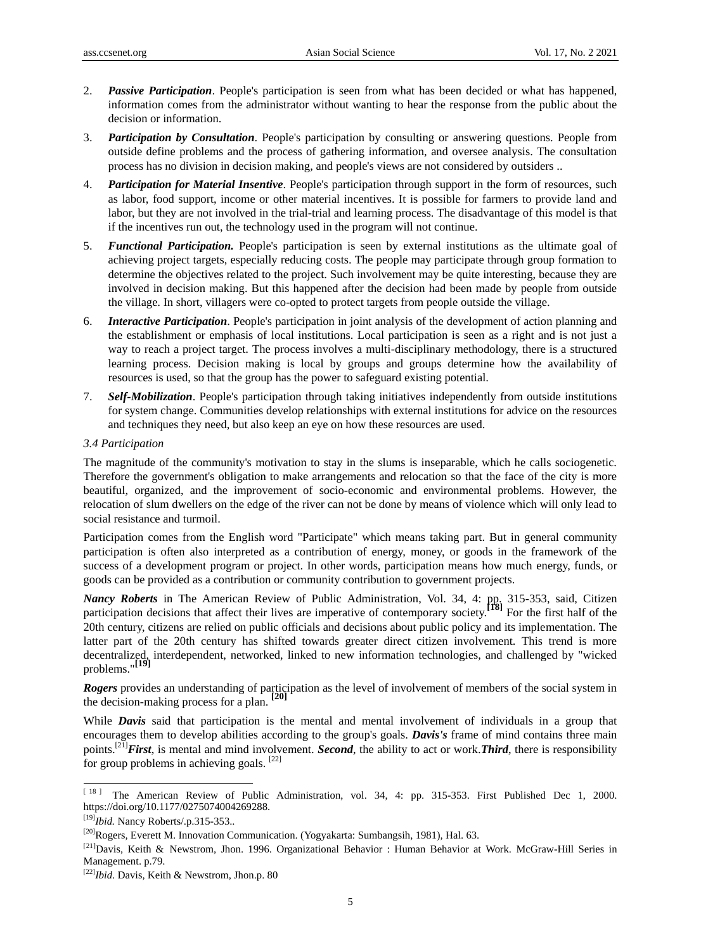- 2. *Passive Participation*. People's participation is seen from what has been decided or what has happened, information comes from the administrator without wanting to hear the response from the public about the decision or information.
- 3. *Participation by Consultation*. People's participation by consulting or answering questions. People from outside define problems and the process of gathering information, and oversee analysis. The consultation process has no division in decision making, and people's views are not considered by outsiders ..
- 4. *Participation for Material Insentive*. People's participation through support in the form of resources, such as labor, food support, income or other material incentives. It is possible for farmers to provide land and labor, but they are not involved in the trial-trial and learning process. The disadvantage of this model is that if the incentives run out, the technology used in the program will not continue.
- 5. *Functional Participation.* People's participation is seen by external institutions as the ultimate goal of achieving project targets, especially reducing costs. The people may participate through group formation to determine the objectives related to the project. Such involvement may be quite interesting, because they are involved in decision making. But this happened after the decision had been made by people from outside the village. In short, villagers were co-opted to protect targets from people outside the village.
- 6. *Interactive Participation*. People's participation in joint analysis of the development of action planning and the establishment or emphasis of local institutions. Local participation is seen as a right and is not just a way to reach a project target. The process involves a multi-disciplinary methodology, there is a structured learning process. Decision making is local by groups and groups determine how the availability of resources is used, so that the group has the power to safeguard existing potential.
- 7. *Self-Mobilization*. People's participation through taking initiatives independently from outside institutions for system change. Communities develop relationships with external institutions for advice on the resources and techniques they need, but also keep an eye on how these resources are used.

## *3.4 Participation*

The magnitude of the community's motivation to stay in the slums is inseparable, which he calls sociogenetic. Therefore the government's obligation to make arrangements and relocation so that the face of the city is more beautiful, organized, and the improvement of socio-economic and environmental problems. However, the relocation of slum dwellers on the edge of the river can not be done by means of violence which will only lead to social resistance and turmoil.

Participation comes from the English word "Participate" which means taking part. But in general community participation is often also interpreted as a contribution of energy, money, or goods in the framework of the success of a development program or project. In other words, participation means how much energy, funds, or goods can be provided as a contribution or community contribution to government projects.

*Nancy Roberts* in The American Review of Public Administration, Vol. 34, 4: pp. 315-353, said, Citizen participation decisions that affect their lives are imperative of contemporary society.**[\[18\]](http://id.wikipedia.org/wiki/Demokrasi_Pancasila#cite_note-c-4)** For the first half of the 20th century, citizens are relied on public officials and decisions about public policy and its implementation. The latter part of the 20th century has shifted towards greater direct citizen involvement. This trend is more decentralized, interdependent, networked, linked to new information technologies, and challenged by "wicked problems."**[\[19\]](http://id.wikipedia.org/wiki/Demokrasi_Pancasila#cite_note-c-4)**

*Rogers* provides an understanding of participation as the level of involvement of members of the social system in the decision-making process for a plan. **[\[20\]](http://id.wikipedia.org/wiki/Demokrasi_Pancasila#cite_note-c-4)**

While *Davis* said that participation is the mental and mental involvement of individuals in a group that encourages them to develop abilities according to the group's goals. *Davis's* frame of mind contains three main points.[\[21\]](http://id.wikipedia.org/wiki/Demokrasi_Pancasila#cite_note-c-4)*First*, is mental and mind involvement. *Second*, the ability to act or work.*Third*, there is responsibility for group problems in achieving goals.  $[22]$ 

-

<sup>[</sup>[18](http://id.wikipedia.org/wiki/Demokrasi_Pancasila#cite_note-c-4)] The American Review of Public Administration, vol. 34, 4: pp. 315-353. First Published Dec 1, 2000. https://doi.org/10.1177/0275074004269288.

[<sup>\[19\]</sup>](http://id.wikipedia.org/wiki/Demokrasi_Pancasila#cite_note-c-4) *Ibid.* Nancy [Roberts/](http://journals.sagepub.com/author/Roberts%2C+Nancy).p.315-353..

[<sup>\[20\]</sup>](http://id.wikipedia.org/wiki/Demokrasi_Pancasila#cite_note-c-4)Rogers, Everett M. Innovation Communication. (Yogyakarta: Sumbangsih, 1981), Hal. 63.

[<sup>\[21\]</sup>](http://id.wikipedia.org/wiki/Demokrasi_Pancasila#cite_note-c-4) Davis, Keith & Newstrom, Jhon. 1996. Organizational Behavior : Human Behavior at Work. McGraw-Hill Series in [Management.](https://www.bookdepository.com/search/advanced?seriesId=5279) p.79.

[<sup>\[22\]</sup>](http://id.wikipedia.org/wiki/Demokrasi_Pancasila#cite_note-c-4) *Ibid*. Davis, Keith & Newstrom, Jhon.p. 80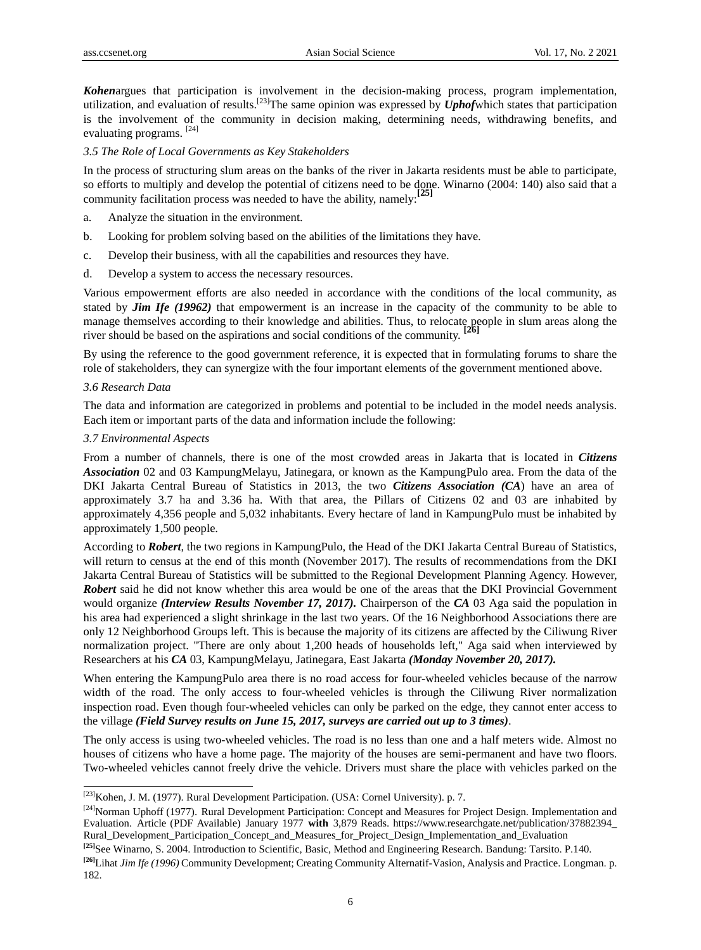*Kohen*argues that participation is involvement in the decision-making process, program implementation, utilization, and evaluation of results.[\[23\]](http://id.wikipedia.org/wiki/Demokrasi_Pancasila#cite_note-c-4)The same opinion was expressed by *Uphof*which states that participation is the involvement of the community in decision making, determining needs, withdrawing benefits, and evaluating programs. [\[24\]](http://id.wikipedia.org/wiki/Demokrasi_Pancasila#cite_note-c-4)

#### *3.5 The Role of Local Governments as Key Stakeholders*

In the process of structuring slum areas on the banks of the river in Jakarta residents must be able to participate, so efforts to multiply and develop the potential of citizens need to be done. Winarno (2004: 140) also said that a community facilitation process was needed to have the ability, namely:**[\[25\]](http://id.wikipedia.org/wiki/Demokrasi_Pancasila#cite_note-c-4)**

- a. Analyze the situation in the environment.
- b. Looking for problem solving based on the abilities of the limitations they have.
- c. Develop their business, with all the capabilities and resources they have.
- d. Develop a system to access the necessary resources.

Various empowerment efforts are also needed in accordance with the conditions of the local community, as stated by *Jim Ife (19962)* that empowerment is an increase in the capacity of the community to be able to manage themselves according to their knowledge and abilities. Thus, to relocate people in slum areas along the<br>river should be besed on the seniesting and social conditions of the community [26] river should be based on the aspirations and social conditions of the community. **[\[26\]](http://id.wikipedia.org/wiki/Demokrasi_Pancasila#cite_note-c-4)**

By using the reference to the good government reference, it is expected that in formulating forums to share the role of stakeholders, they can synergize with the four important elements of the government mentioned above.

## *3.6 Research Data*

-

The data and information are categorized in problems and potential to be included in the model needs analysis. Each item or important parts of the data and information include the following:

# *3.7 Environmental Aspects*

From a number of channels, there is one of the most crowded areas in Jakarta that is located in *Citizens Association* 02 and 03 KampungMelayu, Jatinegara, or known as the KampungPulo area. From the data of the DKI Jakarta Central Bureau of Statistics in 2013, the two *Citizens Association (CA*) have an area of approximately 3.7 ha and 3.36 ha. With that area, the Pillars of Citizens 02 and 03 are inhabited by approximately 4,356 people and 5,032 inhabitants. Every hectare of land in KampungPulo must be inhabited by approximately 1,500 people.

According to *Robert*, the two regions in KampungPulo, the Head of the DKI Jakarta Central Bureau of Statistics, will return to census at the end of this month (November 2017). The results of recommendations from the DKI Jakarta Central Bureau of Statistics will be submitted to the Regional Development Planning Agency. However, *Robert* said he did not know whether this area would be one of the areas that the DKI Provincial Government would organize *(Interview Results November 17, 2017).* Chairperson of the *CA* 03 Aga said the population in his area had experienced a slight shrinkage in the last two years. Of the 16 Neighborhood Associations there are only 12 Neighborhood Groups left. This is because the majority of its citizens are affected by the Ciliwung River normalization project. "There are only about 1,200 heads of households left," Aga said when interviewed by Researchers at his *CA* 03, KampungMelayu, Jatinegara, East Jakarta *(Monday November 20, 2017).*

When entering the KampungPulo area there is no road access for four-wheeled vehicles because of the narrow width of the road. The only access to four-wheeled vehicles is through the Ciliwung River normalization inspection road. Even though four-wheeled vehicles can only be parked on the edge, they cannot enter access to the village *(Field Survey results on June 15, 2017, surveys are carried out up to 3 times)*.

The only access is using two-wheeled vehicles. The road is no less than one and a half meters wide. Almost no houses of citizens who have a home page. The majority of the houses are semi-permanent and have two floors. Two-wheeled vehicles cannot freely drive the vehicle. Drivers must share the place with vehicles parked on the

<sup>&</sup>lt;sup>[\[23\]](http://id.wikipedia.org/wiki/Demokrasi_Pancasila#cite_note-c-4)</sup>Kohen, J. M. (1977). Rural Development Participation. (USA: Cornel University). p. 7.

 $[24]$ Norman Uphoff (1977). Rural Development Participation: Concept and Measures for Project Design. Implementation and Evaluation. Article (PDF Available) January 1977 **with** 3,879 Reads. https://www.researchgate.net/publication/37882394\_ Rural\_Development\_Participation\_Concept\_and\_Measures\_for\_Project\_Design\_Implementation\_and\_Evaluation

**[<sup>\[25\]</sup>](http://id.wikipedia.org/wiki/Demokrasi_Pancasila#cite_note-c-4)** See Winarno, S. 2004. Introduction to Scientific, Basic, Method and Engineering Research. Bandung: Tarsito. P.140.

**[<sup>\[26\]</sup>](http://id.wikipedia.org/wiki/Demokrasi_Pancasila#cite_note-c-4)**Lihat *Jim Ife (1996)* Community Development; Creating Community Alternatif-Vasion, Analysis and Practice. Longman. p. 182.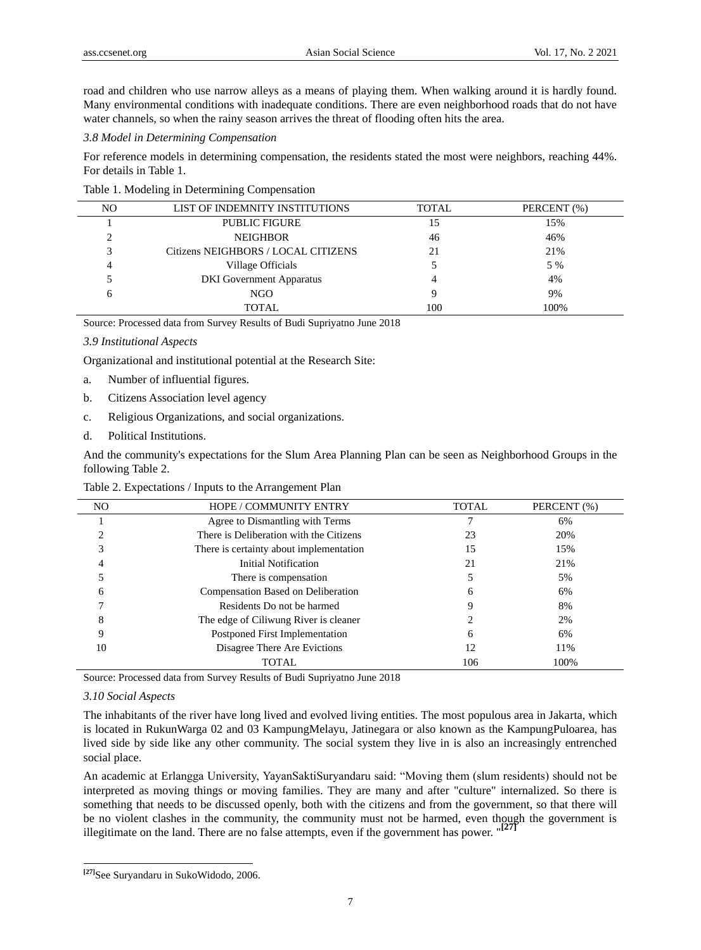road and children who use narrow alleys as a means of playing them. When walking around it is hardly found. Many environmental conditions with inadequate conditions. There are even neighborhood roads that do not have water channels, so when the rainy season arrives the threat of flooding often hits the area.

# *3.8 Model in Determining Compensation*

For reference models in determining compensation, the residents stated the most were neighbors, reaching 44%. For details in Table 1.

Table 1. Modeling in Determining Compensation

| NO.                                 | LIST OF INDEMNITY INSTITUTIONS | <b>TOTAL</b> | PERCENT (%) |
|-------------------------------------|--------------------------------|--------------|-------------|
|                                     | <b>PUBLIC FIGURE</b>           |              | 15%         |
|                                     | <b>NEIGHBOR</b>                | 46           | 46%         |
| Citizens NEIGHBORS / LOCAL CITIZENS |                                | 21           | 21%         |
|                                     | Village Officials              |              | 5 %         |
| <b>DKI</b> Government Apparatus     |                                |              | 4%          |
| NGO                                 |                                | Q            | 9%          |
|                                     | <b>TOTAL</b>                   | 100          | 100%        |

Source: Processed data from Survey Results of Budi Supriyatno June 2018

#### *3.9 Institutional Aspects*

Organizational and institutional potential at the Research Site:

- a. Number of influential figures.
- b. Citizens Association level agency
- c. Religious Organizations, and social organizations.
- d. Political Institutions.

And the community's expectations for the Slum Area Planning Plan can be seen as Neighborhood Groups in the following Table 2.

Table 2. Expectations / Inputs to the Arrangement Plan

| NO     | <b>HOPE / COMMUNITY ENTRY</b>           | <b>TOTAL</b> | PERCENT (%) |  |
|--------|-----------------------------------------|--------------|-------------|--|
|        | Agree to Dismantling with Terms         |              | 6%          |  |
|        | There is Deliberation with the Citizens | 23           | 20%         |  |
|        | There is certainty about implementation | 15           | 15%         |  |
| 4      | Initial Notification                    | 21           | 21%         |  |
|        | There is compensation                   |              | 5%          |  |
| 6      | Compensation Based on Deliberation      | <sub>0</sub> | 6%          |  |
|        | Residents Do not be harmed              |              | 8%          |  |
| o<br>δ | The edge of Ciliwung River is cleaner   |              | 2%          |  |
| 9      | Postponed First Implementation          |              | 6%          |  |
| 10     | Disagree There Are Evictions            |              | 11%         |  |
|        | TOTAL                                   | 106          | 100%        |  |

Source: Processed data from Survey Results of Budi Supriyatno June 2018

## *3.10 Social Aspects*

The inhabitants of the river have long lived and evolved living entities. The most populous area in Jakarta, which is located in RukunWarga 02 and 03 KampungMelayu, Jatinegara or also known as the KampungPuloarea, has lived side by side like any other community. The social system they live in is also an increasingly entrenched social place.

An academic at Erlangga University, YayanSaktiSuryandaru said: "Moving them (slum residents) should not be interpreted as moving things or moving families. They are many and after "culture" internalized. So there is something that needs to be discussed openly, both with the citizens and from the government, so that there will be no violent clashes in the community, the community must not be harmed, even though the government is illegitimate on the land. There are no false attempts, even if the government has power. "**[\[27\]](http://id.wikipedia.org/wiki/Demokrasi_Pancasila#cite_note-c-4)**

 **[\[27\]](http://id.wikipedia.org/wiki/Demokrasi_Pancasila#cite_note-c-4)** See Suryandaru in SukoWidodo, 2006.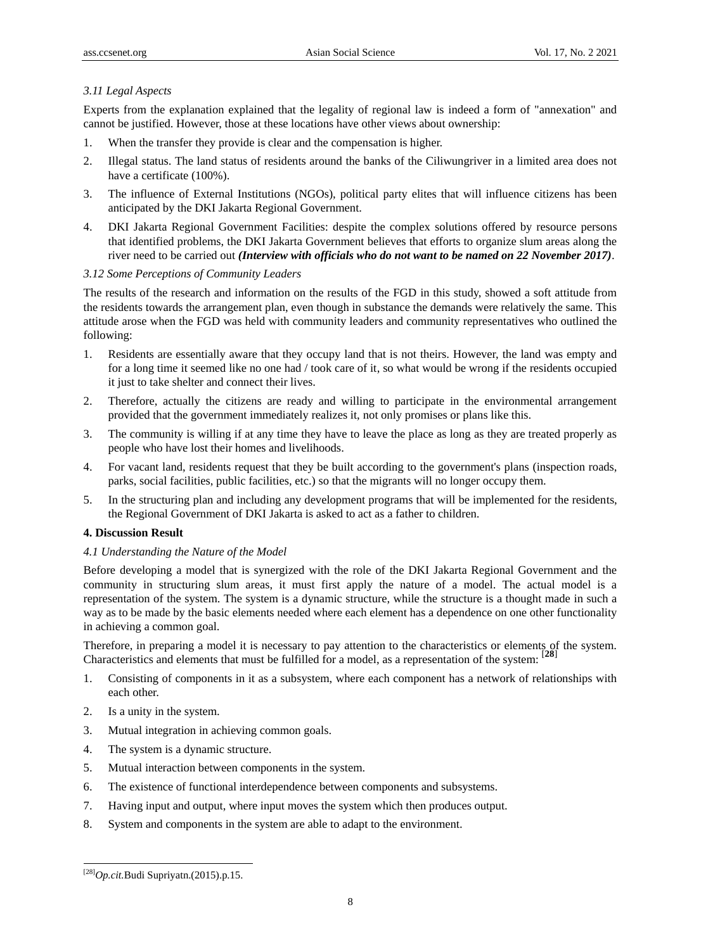# *3.11 Legal Aspects*

Experts from the explanation explained that the legality of regional law is indeed a form of "annexation" and cannot be justified. However, those at these locations have other views about ownership:

- 1. When the transfer they provide is clear and the compensation is higher.
- 2. Illegal status. The land status of residents around the banks of the Ciliwungriver in a limited area does not have a certificate (100%).
- 3. The influence of External Institutions (NGOs), political party elites that will influence citizens has been anticipated by the DKI Jakarta Regional Government.
- 4. DKI Jakarta Regional Government Facilities: despite the complex solutions offered by resource persons that identified problems, the DKI Jakarta Government believes that efforts to organize slum areas along the river need to be carried out *(Interview with officials who do not want to be named on 22 November 2017)*.

# *3.12 Some Perceptions of Community Leaders*

The results of the research and information on the results of the FGD in this study, showed a soft attitude from the residents towards the arrangement plan, even though in substance the demands were relatively the same. This attitude arose when the FGD was held with community leaders and community representatives who outlined the following:

- 1. Residents are essentially aware that they occupy land that is not theirs. However, the land was empty and for a long time it seemed like no one had / took care of it, so what would be wrong if the residents occupied it just to take shelter and connect their lives.
- 2. Therefore, actually the citizens are ready and willing to participate in the environmental arrangement provided that the government immediately realizes it, not only promises or plans like this.
- 3. The community is willing if at any time they have to leave the place as long as they are treated properly as people who have lost their homes and livelihoods.
- 4. For vacant land, residents request that they be built according to the government's plans (inspection roads, parks, social facilities, public facilities, etc.) so that the migrants will no longer occupy them.
- 5. In the structuring plan and including any development programs that will be implemented for the residents, the Regional Government of DKI Jakarta is asked to act as a father to children.

# **4. Discussion Result**

# *4.1 Understanding the Nature of the Model*

Before developing a model that is synergized with the role of the DKI Jakarta Regional Government and the community in structuring slum areas, it must first apply the nature of a model. The actual model is a representation of the system. The system is a dynamic structure, while the structure is a thought made in such a way as to be made by the basic elements needed where each element has a dependence on one other functionality in achieving a common goal.

Therefore, in preparing a model it is necessary to pay attention to the characteristics or elements of the system. Characteristics and elements that must be fulfilled for a model, as a representation of the system: [**[28](http://id.wikipedia.org/wiki/Demokrasi_Pancasila#cite_note-c-4)**]

- 1. Consisting of components in it as a subsystem, where each component has a network of relationships with each other.
- 2. Is a unity in the system.
- 3. Mutual integration in achieving common goals.
- 4. The system is a dynamic structure.
- 5. Mutual interaction between components in the system.
- 6. The existence of functional interdependence between components and subsystems.
- 7. Having input and output, where input moves the system which then produces output.
- 8. System and components in the system are able to adapt to the environment.

-

[<sup>\[28\]</sup>](http://id.wikipedia.org/wiki/Demokrasi_Pancasila#cite_note-c-4)*Op.cit.*Budi Supriyatn.(2015).p.15.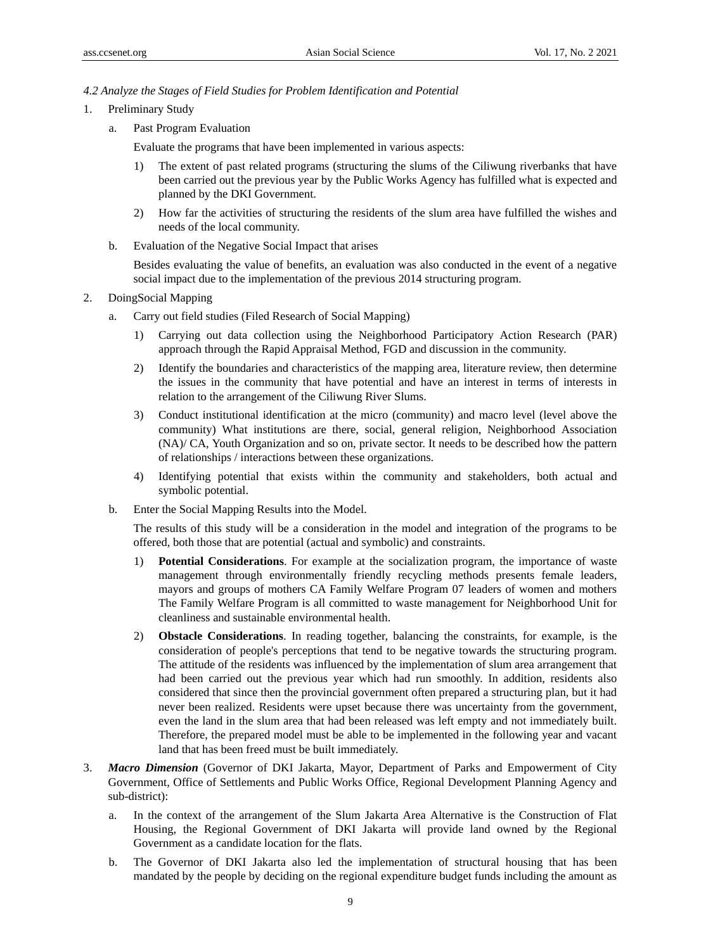## *4.2 Analyze the Stages of Field Studies for Problem Identification and Potential*

- 1. Preliminary Study
	- a. Past Program Evaluation

Evaluate the programs that have been implemented in various aspects:

- 1) The extent of past related programs (structuring the slums of the Ciliwung riverbanks that have been carried out the previous year by the Public Works Agency has fulfilled what is expected and planned by the DKI Government.
- 2) How far the activities of structuring the residents of the slum area have fulfilled the wishes and needs of the local community.
- b. Evaluation of the Negative Social Impact that arises

Besides evaluating the value of benefits, an evaluation was also conducted in the event of a negative social impact due to the implementation of the previous 2014 structuring program.

- 2. DoingSocial Mapping
	- a. Carry out field studies (Filed Research of Social Mapping)
		- 1) Carrying out data collection using the Neighborhood Participatory Action Research (PAR) approach through the Rapid Appraisal Method, FGD and discussion in the community.
		- 2) Identify the boundaries and characteristics of the mapping area, literature review, then determine the issues in the community that have potential and have an interest in terms of interests in relation to the arrangement of the Ciliwung River Slums.
		- 3) Conduct institutional identification at the micro (community) and macro level (level above the community) What institutions are there, social, general religion, Neighborhood Association (NA)/ CA, Youth Organization and so on, private sector. It needs to be described how the pattern of relationships / interactions between these organizations.
		- 4) Identifying potential that exists within the community and stakeholders, both actual and symbolic potential.
	- b. Enter the Social Mapping Results into the Model.

The results of this study will be a consideration in the model and integration of the programs to be offered, both those that are potential (actual and symbolic) and constraints.

- 1) **Potential Considerations**. For example at the socialization program, the importance of waste management through environmentally friendly recycling methods presents female leaders, mayors and groups of mothers CA Family Welfare Program 07 leaders of women and mothers The Family Welfare Program is all committed to waste management for Neighborhood Unit for cleanliness and sustainable environmental health.
- 2) **Obstacle Considerations**. In reading together, balancing the constraints, for example, is the consideration of people's perceptions that tend to be negative towards the structuring program. The attitude of the residents was influenced by the implementation of slum area arrangement that had been carried out the previous year which had run smoothly. In addition, residents also considered that since then the provincial government often prepared a structuring plan, but it had never been realized. Residents were upset because there was uncertainty from the government, even the land in the slum area that had been released was left empty and not immediately built. Therefore, the prepared model must be able to be implemented in the following year and vacant land that has been freed must be built immediately.
- 3. *Macro Dimension* (Governor of DKI Jakarta, Mayor, Department of Parks and Empowerment of City Government, Office of Settlements and Public Works Office, Regional Development Planning Agency and sub-district):
	- a. In the context of the arrangement of the Slum Jakarta Area Alternative is the Construction of Flat Housing, the Regional Government of DKI Jakarta will provide land owned by the Regional Government as a candidate location for the flats.
	- b. The Governor of DKI Jakarta also led the implementation of structural housing that has been mandated by the people by deciding on the regional expenditure budget funds including the amount as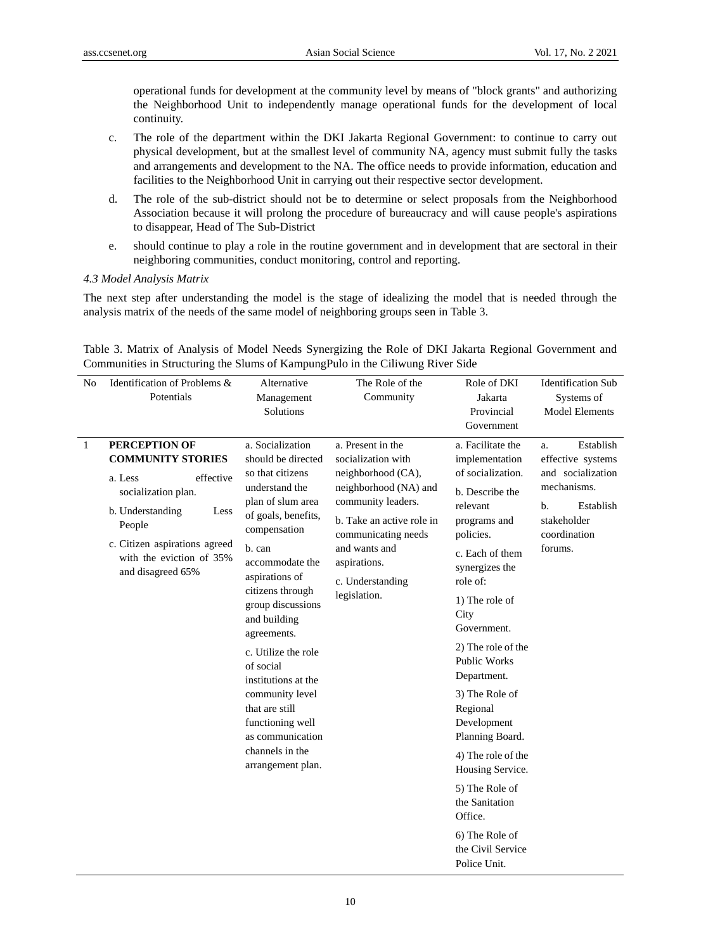operational funds for development at the community level by means of "block grants" and authorizing the Neighborhood Unit to independently manage operational funds for the development of local continuity.

- c. The role of the department within the DKI Jakarta Regional Government: to continue to carry out physical development, but at the smallest level of community NA, agency must submit fully the tasks and arrangements and development to the NA. The office needs to provide information, education and facilities to the Neighborhood Unit in carrying out their respective sector development.
- d. The role of the sub-district should not be to determine or select proposals from the Neighborhood Association because it will prolong the procedure of bureaucracy and will cause people's aspirations to disappear, Head of The Sub-District
- e. should continue to play a role in the routine government and in development that are sectoral in their neighboring communities, conduct monitoring, control and reporting.

# *4.3 Model Analysis Matrix*

The next step after understanding the model is the stage of idealizing the model that is needed through the analysis matrix of the needs of the same model of neighboring groups seen in Table 3.

| N <sub>0</sub> | Identification of Problems &<br>Potentials                                                                                                                                                                              | Alternative<br>Management<br>Solutions                                                                                                                                                                                                                                                                                                                                                                                                          | The Role of the<br>Community                                                                                                                                                                                                          | Role of DKI<br>Jakarta<br>Provincial<br>Government                                                                                                                                                                                                                                                                                                                                                                                                                                         | <b>Identification Sub</b><br>Systems of<br><b>Model Elements</b>                                                                      |
|----------------|-------------------------------------------------------------------------------------------------------------------------------------------------------------------------------------------------------------------------|-------------------------------------------------------------------------------------------------------------------------------------------------------------------------------------------------------------------------------------------------------------------------------------------------------------------------------------------------------------------------------------------------------------------------------------------------|---------------------------------------------------------------------------------------------------------------------------------------------------------------------------------------------------------------------------------------|--------------------------------------------------------------------------------------------------------------------------------------------------------------------------------------------------------------------------------------------------------------------------------------------------------------------------------------------------------------------------------------------------------------------------------------------------------------------------------------------|---------------------------------------------------------------------------------------------------------------------------------------|
| 1              | <b>PERCEPTION OF</b><br><b>COMMUNITY STORIES</b><br>effective<br>a. Less<br>socialization plan.<br>b. Understanding<br>Less<br>People<br>c. Citizen aspirations agreed<br>with the eviction of 35%<br>and disagreed 65% | a. Socialization<br>should be directed<br>so that citizens<br>understand the<br>plan of slum area<br>of goals, benefits,<br>compensation<br>b. can<br>accommodate the<br>aspirations of<br>citizens through<br>group discussions<br>and building<br>agreements.<br>c. Utilize the role<br>of social<br>institutions at the<br>community level<br>that are still<br>functioning well<br>as communication<br>channels in the<br>arrangement plan. | a. Present in the<br>socialization with<br>neighborhood (CA),<br>neighborhood (NA) and<br>community leaders.<br>b. Take an active role in<br>communicating needs<br>and wants and<br>aspirations.<br>c. Understanding<br>legislation. | a. Facilitate the<br>implementation<br>of socialization.<br>b. Describe the<br>relevant<br>programs and<br>policies.<br>c. Each of them<br>synergizes the<br>role of:<br>1) The role of<br>City<br>Government.<br>2) The role of the<br><b>Public Works</b><br>Department.<br>3) The Role of<br>Regional<br>Development<br>Planning Board.<br>4) The role of the<br>Housing Service.<br>5) The Role of<br>the Sanitation<br>Office.<br>6) The Role of<br>the Civil Service<br>Police Unit. | Establish<br>a.<br>effective systems<br>and socialization<br>mechanisms.<br>Establish<br>b.<br>stakeholder<br>coordination<br>forums. |

Table 3. Matrix of Analysis of Model Needs Synergizing the Role of DKI Jakarta Regional Government and Communities in Structuring the Slums of KampungPulo in the Ciliwung River Side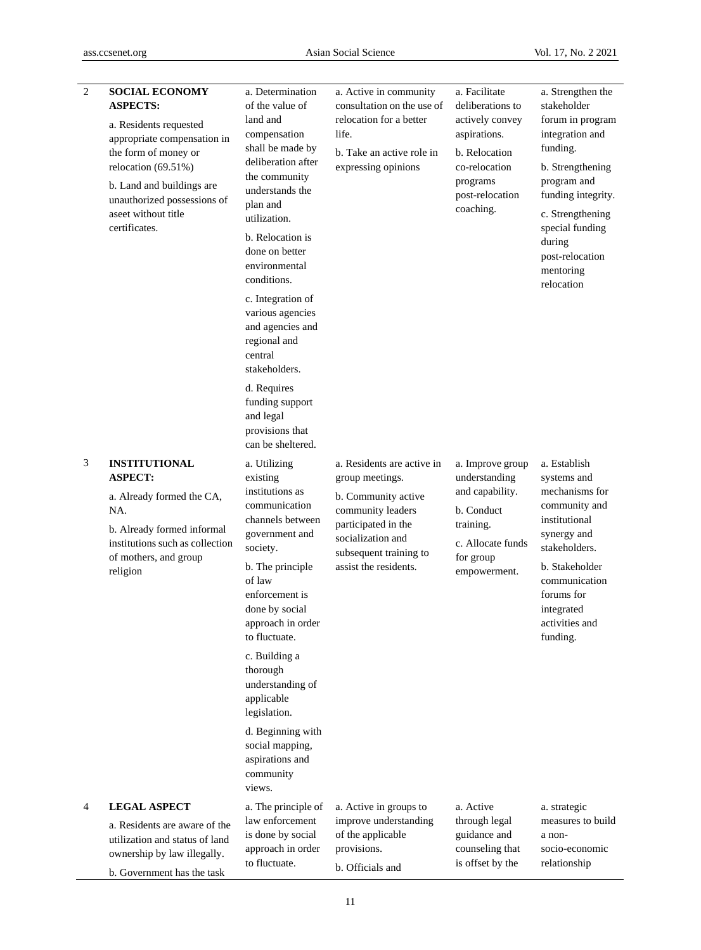| 2 | <b>SOCIAL ECONOMY</b><br><b>ASPECTS:</b><br>a. Residents requested<br>appropriate compensation in<br>the form of money or<br>relocation (69.51%)<br>b. Land and buildings are<br>unauthorized possessions of<br>aseet without title<br>certificates. | a. Determination<br>of the value of<br>land and<br>compensation<br>shall be made by<br>deliberation after<br>the community<br>understands the<br>plan and<br>utilization.<br>b. Relocation is<br>done on better<br>environmental<br>conditions.<br>c. Integration of<br>various agencies<br>and agencies and<br>regional and<br>central<br>stakeholders.<br>d. Requires<br>funding support<br>and legal<br>provisions that<br>can be sheltered. | a. Active in community<br>consultation on the use of<br>relocation for a better<br>life.<br>b. Take an active role in<br>expressing opinions                                             | a. Facilitate<br>deliberations to<br>actively convey<br>aspirations.<br>b. Relocation<br>co-relocation<br>programs<br>post-relocation<br>coaching. | a. Strengthen the<br>stakeholder<br>forum in program<br>integration and<br>funding.<br>b. Strengthening<br>program and<br>funding integrity.<br>c. Strengthening<br>special funding<br>during<br>post-relocation<br>mentoring<br>relocation |
|---|------------------------------------------------------------------------------------------------------------------------------------------------------------------------------------------------------------------------------------------------------|-------------------------------------------------------------------------------------------------------------------------------------------------------------------------------------------------------------------------------------------------------------------------------------------------------------------------------------------------------------------------------------------------------------------------------------------------|------------------------------------------------------------------------------------------------------------------------------------------------------------------------------------------|----------------------------------------------------------------------------------------------------------------------------------------------------|---------------------------------------------------------------------------------------------------------------------------------------------------------------------------------------------------------------------------------------------|
| 3 | <b>INSTITUTIONAL</b><br><b>ASPECT:</b><br>a. Already formed the CA,<br>NA.<br>b. Already formed informal<br>institutions such as collection<br>of mothers, and group<br>religion                                                                     | a. Utilizing<br>existing<br>institutions as<br>communication<br>channels between<br>government and<br>society.<br>b. The principle<br>of law<br>enforcement is<br>done by social<br>approach in order<br>to fluctuate.<br>c. Building a<br>thorough<br>understanding of<br>applicable<br>legislation.<br>d. Beginning with<br>social mapping,<br>aspirations and<br>community<br>views.                                                         | a. Residents are active in<br>group meetings.<br>b. Community active<br>community leaders<br>participated in the<br>socialization and<br>subsequent training to<br>assist the residents. | a. Improve group<br>understanding<br>and capability.<br>b. Conduct<br>training.<br>c. Allocate funds<br>for group<br>empowerment.                  | a. Establish<br>systems and<br>mechanisms for<br>community and<br>institutional<br>synergy and<br>stakeholders.<br>b. Stakeholder<br>communication<br>forums for<br>integrated<br>activities and<br>funding.                                |
| 4 | <b>LEGAL ASPECT</b><br>a. Residents are aware of the<br>utilization and status of land<br>ownership by law illegally.<br>b. Government has the task                                                                                                  | a. The principle of<br>law enforcement<br>is done by social<br>approach in order<br>to fluctuate.                                                                                                                                                                                                                                                                                                                                               | a. Active in groups to<br>improve understanding<br>of the applicable<br>provisions.<br>b. Officials and                                                                                  | a. Active<br>through legal<br>guidance and<br>counseling that<br>is offset by the                                                                  | a. strategic<br>measures to build<br>a non-<br>socio-economic<br>relationship                                                                                                                                                               |

11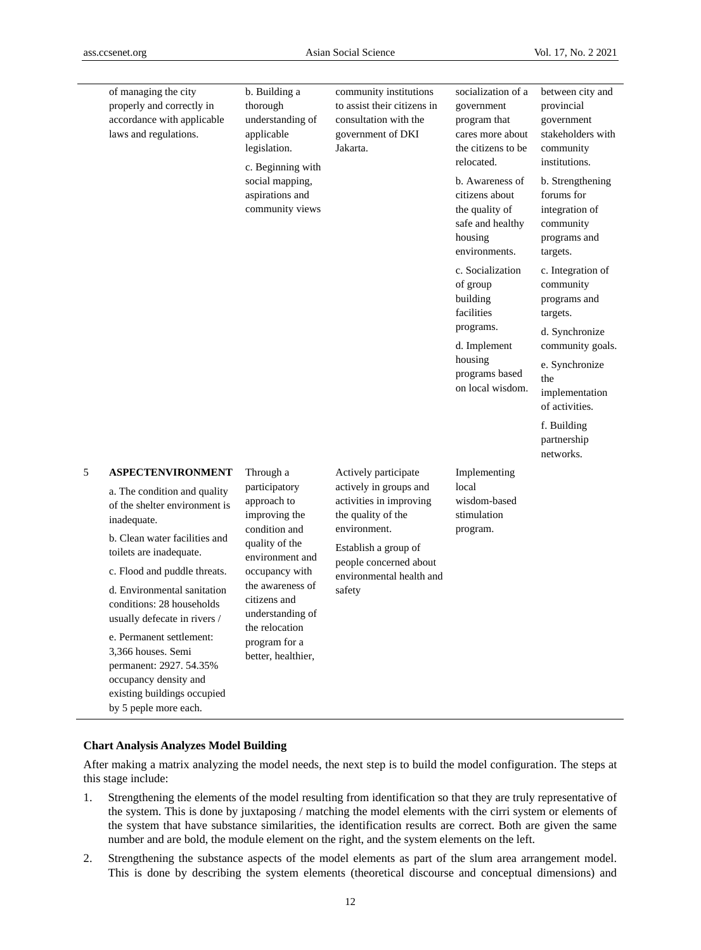|                                                                                                                                                                                                                                           | of managing the city<br>properly and correctly in<br>accordance with applicable<br>laws and regulations. | b. Building a<br>thorough<br>understanding of<br>applicable<br>legislation.<br>c. Beginning with                                                                                           | community institutions<br>to assist their citizens in<br>consultation with the<br>government of DKI<br>Jakarta.                                                                                         | socialization of a<br>government<br>program that<br>cares more about<br>the citizens to be<br>relocated. | between city and<br>provincial<br>government<br>stakeholders with<br>community<br>institutions. |
|-------------------------------------------------------------------------------------------------------------------------------------------------------------------------------------------------------------------------------------------|----------------------------------------------------------------------------------------------------------|--------------------------------------------------------------------------------------------------------------------------------------------------------------------------------------------|---------------------------------------------------------------------------------------------------------------------------------------------------------------------------------------------------------|----------------------------------------------------------------------------------------------------------|-------------------------------------------------------------------------------------------------|
|                                                                                                                                                                                                                                           |                                                                                                          | social mapping,<br>aspirations and<br>community views                                                                                                                                      |                                                                                                                                                                                                         | b. Awareness of<br>citizens about<br>the quality of<br>safe and healthy<br>housing<br>environments.      | b. Strengthening<br>forums for<br>integration of<br>community<br>programs and<br>targets.       |
|                                                                                                                                                                                                                                           |                                                                                                          |                                                                                                                                                                                            |                                                                                                                                                                                                         | c. Socialization<br>of group<br>building<br>facilities                                                   | c. Integration of<br>community<br>programs and<br>targets.                                      |
|                                                                                                                                                                                                                                           |                                                                                                          |                                                                                                                                                                                            |                                                                                                                                                                                                         | programs.                                                                                                | d. Synchronize                                                                                  |
|                                                                                                                                                                                                                                           |                                                                                                          |                                                                                                                                                                                            |                                                                                                                                                                                                         | d. Implement<br>housing<br>programs based<br>on local wisdom.                                            | community goals.                                                                                |
|                                                                                                                                                                                                                                           |                                                                                                          |                                                                                                                                                                                            |                                                                                                                                                                                                         |                                                                                                          | e. Synchronize<br>the<br>implementation<br>of activities.                                       |
|                                                                                                                                                                                                                                           |                                                                                                          |                                                                                                                                                                                            |                                                                                                                                                                                                         |                                                                                                          | f. Building<br>partnership<br>networks.                                                         |
| 5                                                                                                                                                                                                                                         | <b>ASPECTENVIRONMENT</b>                                                                                 | Through a<br>participatory<br>approach to<br>improving the<br>condition and<br>quality of the<br>environment and<br>occupancy with<br>the awareness of<br>citizens and<br>understanding of | Actively participate<br>actively in groups and<br>activities in improving<br>the quality of the<br>environment.<br>Establish a group of<br>people concerned about<br>environmental health and<br>safety | Implementing<br>local                                                                                    |                                                                                                 |
| a. The condition and quality<br>inadequate.<br>toilets are inadequate.<br>conditions: 28 households<br>usually defecate in rivers /<br>e. Permanent settlement:<br>3,366 houses. Semi<br>permanent: 2927. 54.35%<br>occupancy density and | of the shelter environment is                                                                            |                                                                                                                                                                                            |                                                                                                                                                                                                         | wisdom-based<br>stimulation<br>program.                                                                  |                                                                                                 |
|                                                                                                                                                                                                                                           | b. Clean water facilities and                                                                            |                                                                                                                                                                                            |                                                                                                                                                                                                         |                                                                                                          |                                                                                                 |
|                                                                                                                                                                                                                                           | c. Flood and puddle threats.                                                                             |                                                                                                                                                                                            |                                                                                                                                                                                                         |                                                                                                          |                                                                                                 |
|                                                                                                                                                                                                                                           | d. Environmental sanitation                                                                              |                                                                                                                                                                                            |                                                                                                                                                                                                         |                                                                                                          |                                                                                                 |
|                                                                                                                                                                                                                                           | the relocation<br>program for a<br>better, healthier,                                                    |                                                                                                                                                                                            |                                                                                                                                                                                                         |                                                                                                          |                                                                                                 |

# **Chart Analysis Analyzes Model Building**

existing buildings occupied by 5 peple more each.

After making a matrix analyzing the model needs, the next step is to build the model configuration. The steps at this stage include:

- 1. Strengthening the elements of the model resulting from identification so that they are truly representative of the system. This is done by juxtaposing / matching the model elements with the cirri system or elements of the system that have substance similarities, the identification results are correct. Both are given the same number and are bold, the module element on the right, and the system elements on the left.
- 2. Strengthening the substance aspects of the model elements as part of the slum area arrangement model. This is done by describing the system elements (theoretical discourse and conceptual dimensions) and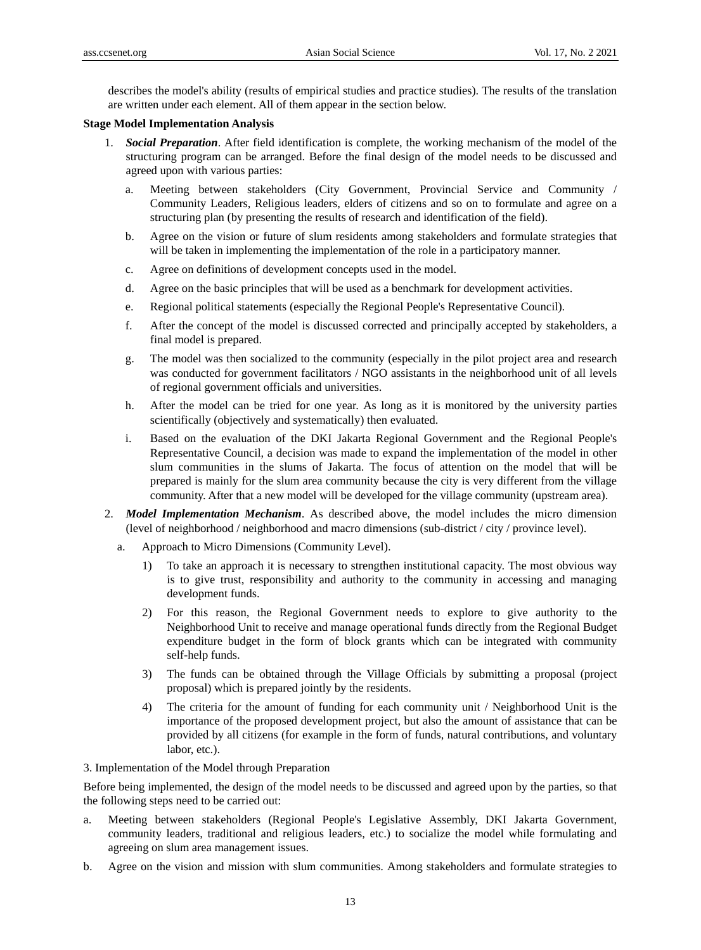describes the model's ability (results of empirical studies and practice studies). The results of the translation are written under each element. All of them appear in the section below.

## **Stage Model Implementation Analysis**

- 1. *Social Preparation*. After field identification is complete, the working mechanism of the model of the structuring program can be arranged. Before the final design of the model needs to be discussed and agreed upon with various parties:
	- a. Meeting between stakeholders (City Government, Provincial Service and Community / Community Leaders, Religious leaders, elders of citizens and so on to formulate and agree on a structuring plan (by presenting the results of research and identification of the field).
	- b. Agree on the vision or future of slum residents among stakeholders and formulate strategies that will be taken in implementing the implementation of the role in a participatory manner.
	- c. Agree on definitions of development concepts used in the model.
	- d. Agree on the basic principles that will be used as a benchmark for development activities.
	- e. Regional political statements (especially the Regional People's Representative Council).
	- f. After the concept of the model is discussed corrected and principally accepted by stakeholders, a final model is prepared.
	- g. The model was then socialized to the community (especially in the pilot project area and research was conducted for government facilitators / NGO assistants in the neighborhood unit of all levels of regional government officials and universities.
	- h. After the model can be tried for one year. As long as it is monitored by the university parties scientifically (objectively and systematically) then evaluated.
	- i. Based on the evaluation of the DKI Jakarta Regional Government and the Regional People's Representative Council, a decision was made to expand the implementation of the model in other slum communities in the slums of Jakarta. The focus of attention on the model that will be prepared is mainly for the slum area community because the city is very different from the village community. After that a new model will be developed for the village community (upstream area).
- 2. *Model Implementation Mechanism*. As described above, the model includes the micro dimension (level of neighborhood / neighborhood and macro dimensions (sub-district / city / province level).
	- a. Approach to Micro Dimensions (Community Level).
		- 1) To take an approach it is necessary to strengthen institutional capacity. The most obvious way is to give trust, responsibility and authority to the community in accessing and managing development funds.
		- 2) For this reason, the Regional Government needs to explore to give authority to the Neighborhood Unit to receive and manage operational funds directly from the Regional Budget expenditure budget in the form of block grants which can be integrated with community self-help funds.
		- 3) The funds can be obtained through the Village Officials by submitting a proposal (project proposal) which is prepared jointly by the residents.
		- 4) The criteria for the amount of funding for each community unit / Neighborhood Unit is the importance of the proposed development project, but also the amount of assistance that can be provided by all citizens (for example in the form of funds, natural contributions, and voluntary labor, etc.).
- 3. Implementation of the Model through Preparation

Before being implemented, the design of the model needs to be discussed and agreed upon by the parties, so that the following steps need to be carried out:

- a. Meeting between stakeholders (Regional People's Legislative Assembly, DKI Jakarta Government, community leaders, traditional and religious leaders, etc.) to socialize the model while formulating and agreeing on slum area management issues.
- b. Agree on the vision and mission with slum communities. Among stakeholders and formulate strategies to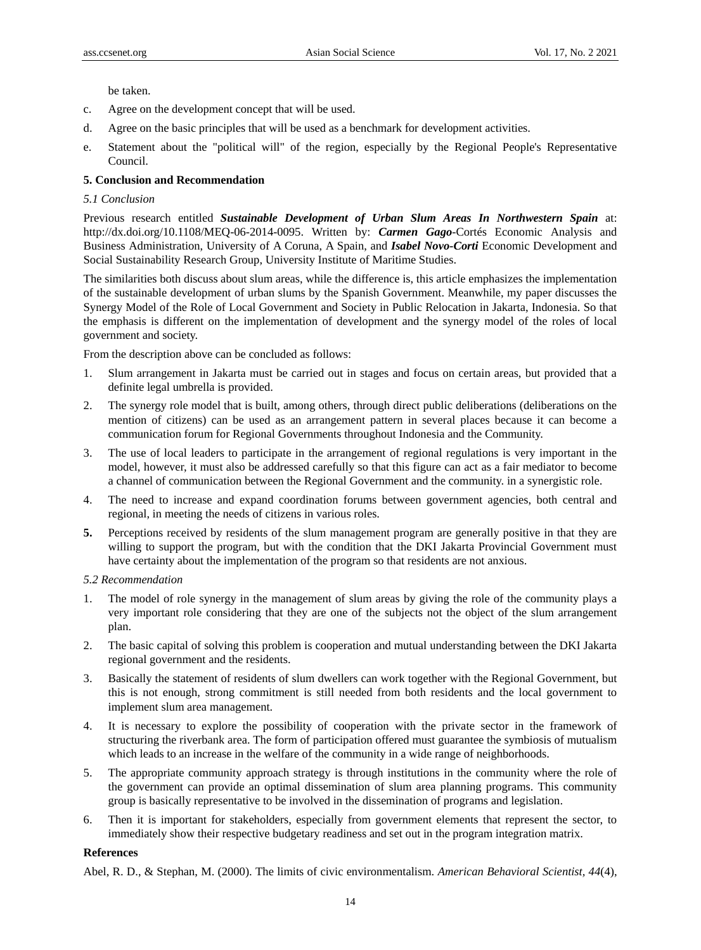be taken.

- c. Agree on the development concept that will be used.
- d. Agree on the basic principles that will be used as a benchmark for development activities.
- e. Statement about the "political will" of the region, especially by the Regional People's Representative Council.

# **5. Conclusion and Recommendation**

# *5.1 Conclusion*

Previous research entitled *Sustainable Development of Urban Slum Areas In Northwestern Spain* at: http://dx.doi.org/10.1108/MEQ-06-2014-0095. Written by: *Carmen Gago*-Cortés Economic Analysis and Business Administration, University of A Coruna, A Spain, and *Isabel Novo-Corti* Economic Development and Social Sustainability Research Group, University Institute of Maritime Studies.

The similarities both discuss about slum areas, while the difference is, this article emphasizes the implementation of the sustainable development of urban slums by the Spanish Government. Meanwhile, my paper discusses the Synergy Model of the Role of Local Government and Society in Public Relocation in Jakarta, Indonesia. So that the emphasis is different on the implementation of development and the synergy model of the roles of local government and society.

From the description above can be concluded as follows:

- 1. Slum arrangement in Jakarta must be carried out in stages and focus on certain areas, but provided that a definite legal umbrella is provided.
- 2. The synergy role model that is built, among others, through direct public deliberations (deliberations on the mention of citizens) can be used as an arrangement pattern in several places because it can become a communication forum for Regional Governments throughout Indonesia and the Community.
- 3. The use of local leaders to participate in the arrangement of regional regulations is very important in the model, however, it must also be addressed carefully so that this figure can act as a fair mediator to become a channel of communication between the Regional Government and the community. in a synergistic role.
- 4. The need to increase and expand coordination forums between government agencies, both central and regional, in meeting the needs of citizens in various roles.
- **5.** Perceptions received by residents of the slum management program are generally positive in that they are willing to support the program, but with the condition that the DKI Jakarta Provincial Government must have certainty about the implementation of the program so that residents are not anxious.

## *5.2 Recommendation*

- 1. The model of role synergy in the management of slum areas by giving the role of the community plays a very important role considering that they are one of the subjects not the object of the slum arrangement plan.
- 2. The basic capital of solving this problem is cooperation and mutual understanding between the DKI Jakarta regional government and the residents.
- 3. Basically the statement of residents of slum dwellers can work together with the Regional Government, but this is not enough, strong commitment is still needed from both residents and the local government to implement slum area management.
- 4. It is necessary to explore the possibility of cooperation with the private sector in the framework of structuring the riverbank area. The form of participation offered must guarantee the symbiosis of mutualism which leads to an increase in the welfare of the community in a wide range of neighborhoods.
- 5. The appropriate community approach strategy is through institutions in the community where the role of the government can provide an optimal dissemination of slum area planning programs. This community group is basically representative to be involved in the dissemination of programs and legislation.
- 6. Then it is important for stakeholders, especially from government elements that represent the sector, to immediately show their respective budgetary readiness and set out in the program integration matrix.

## **References**

Abel, R. D., & Stephan, M. (2000). The limits of civic environmentalism. *American Behavioral Scientist, 44*(4),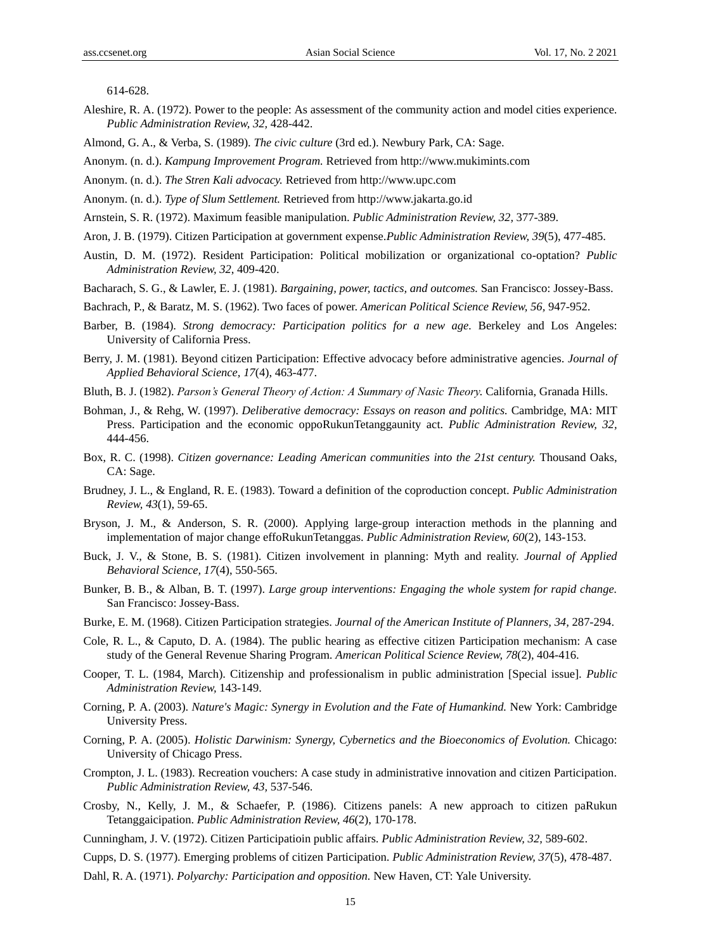614-628.

- Aleshire, R. A. (1972). Power to the people: As assessment of the community action and model cities experience. *Public Administration Review, 32,* 428-442.
- Almond, G. A., & Verba, S. (1989). *The civic culture* (3rd ed.). Newbury Park, CA: Sage.
- Anonym. (n. d.). *Kampung Improvement Program.* Retrieved from http://www.mukimints.com
- Anonym. (n. d.). *The Stren Kali advocacy.* Retrieved from http://www.upc.com
- Anonym. (n. d.). *Type of Slum Settlement.* Retrieved from http://www.jakarta.go.id
- Arnstein, S. R. (1972). Maximum feasible manipulation. *Public Administration Review, 32,* 377-389.
- Aron, J. B. (1979). Citizen Participation at government expense.*Public Administration Review, 39*(5), 477-485.
- Austin, D. M. (1972). Resident Participation: Political mobilization or organizational co-optation? *Public Administration Review, 32*, 409-420.
- Bacharach, S. G., & Lawler, E. J. (1981). *Bargaining, power, tactics, and outcomes.* San Francisco: Jossey-Bass.
- Bachrach, P., & Baratz, M. S. (1962). Two faces of power. *American Political Science Review, 56,* 947-952.
- Barber, B. (1984). *Strong democracy: Participation politics for a new age.* Berkeley and Los Angeles: University of California Press.
- Berry, J. M. (1981). Beyond citizen Participation: Effective advocacy before administrative agencies. *Journal of Applied Behavioral Science, 17*(4), 463-477.
- Bluth, B. J. (1982). *Parson's General Theory of Action: A Summary of Nasic Theory.* California, Granada Hills.
- Bohman, J., & Rehg, W. (1997). *Deliberative democracy: Essays on reason and politics.* Cambridge, MA: MIT Press. Participation and the economic oppoRukunTetanggaunity act. *Public Administration Review, 32,*  444-456.
- Box, R. C. (1998). *Citizen governance: Leading American communities into the 21st century.* Thousand Oaks, CA: Sage.
- Brudney, J. L., & England, R. E. (1983). Toward a definition of the coproduction concept. *Public Administration Review, 43*(1), 59-65.
- Bryson, J. M., & Anderson, S. R. (2000). Applying large-group interaction methods in the planning and implementation of major change effoRukunTetanggas. *Public Administration Review, 60*(2), 143-153.
- Buck, J. V., & Stone, B. S. (1981). Citizen involvement in planning: Myth and reality. *Journal of Applied Behavioral Science, 17*(4), 550-565.
- Bunker, B. B., & Alban, B. T. (1997). *Large group interventions: Engaging the whole system for rapid change.* San Francisco: Jossey-Bass.
- Burke, E. M. (1968). Citizen Participation strategies. *Journal of the American Institute of Planners, 34,* 287-294.
- Cole, R. L., & Caputo, D. A. (1984). The public hearing as effective citizen Participation mechanism: A case study of the General Revenue Sharing Program. *American Political Science Review, 78*(2), 404-416.
- Cooper, T. L. (1984, March). Citizenship and professionalism in public administration [Special issue]. *Public Administration Review,* 143-149.
- Corning, P. A. (2003). *Nature's Magic: Synergy in Evolution and the Fate of Humankind.* New York: Cambridge University Press.
- Corning, P. A. (2005). *Holistic Darwinism: Synergy, Cybernetics and the Bioeconomics of Evolution.* Chicago: University of Chicago Press.
- Crompton, J. L. (1983). Recreation vouchers: A case study in administrative innovation and citizen Participation. *Public Administration Review, 43,* 537-546.
- Crosby, N., Kelly, J. M., & Schaefer, P. (1986). Citizens panels: A new approach to citizen paRukun Tetanggaicipation. *Public Administration Review, 46*(2), 170-178.
- Cunningham, J. V. (1972). Citizen Participatioin public affairs. *Public Administration Review, 32,* 589-602.
- Cupps, D. S. (1977). Emerging problems of citizen Participation. *Public Administration Review, 37*(5), 478-487.
- Dahl, R. A. (1971). *Polyarchy: Participation and opposition.* New Haven, CT: Yale University.